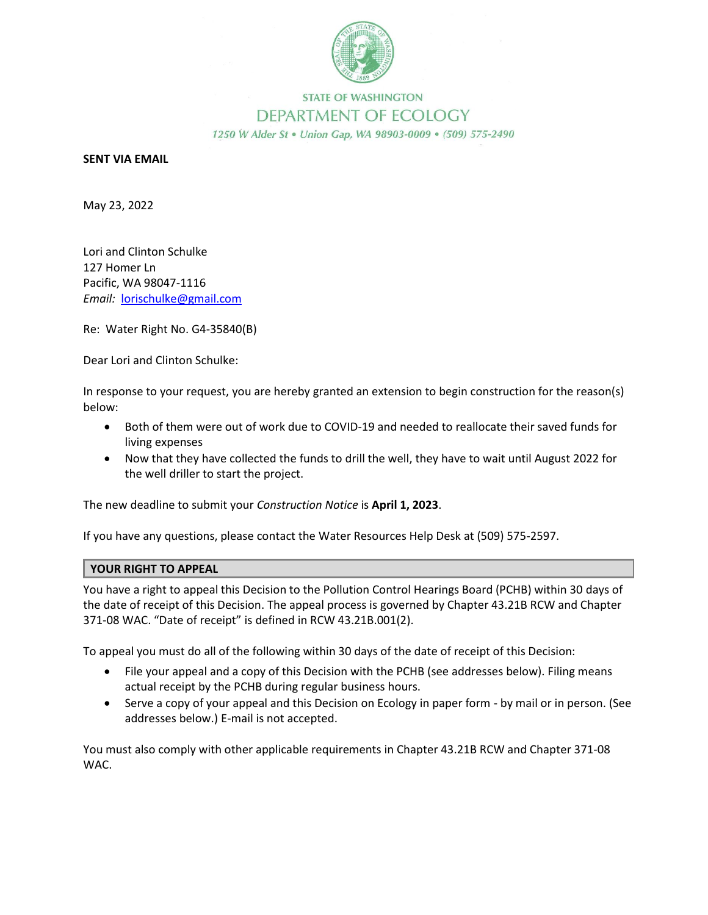

## **STATE OF WASHINGTON** DEPARTMENT OF ECOLOGY 1250 W Alder St . Union Gap, WA 98903-0009 . (509) 575-2490

## **SENT VIA EMAIL**

May 23, 2022

Lori and Clinton Schulke 127 Homer Ln Pacific, WA 98047-1116 *Email:* lorischulke@gmail.com

Re: Water Right No. G4-35840(B)

Dear Lori and Clinton Schulke:

In response to your request, you are hereby granted an extension to begin construction for the reason(s) below:

- Both of them were out of work due to COVID-19 and needed to reallocate their saved funds for living expenses
- Now that they have collected the funds to drill the well, they have to wait until August 2022 for the well driller to start the project.

The new deadline to submit your *Construction Notice* is **April 1, 2023**.

If you have any questions, please contact the Water Resources Help Desk at (509) 575-2597.

## **YOUR RIGHT TO APPEAL**

You have a right to appeal this Decision to the Pollution Control Hearings Board (PCHB) within 30 days of the date of receipt of this Decision. The appeal process is governed by Chapter 43.21B RCW and Chapter 371-08 WAC. "Date of receipt" is defined in RCW 43.21B.001(2).

To appeal you must do all of the following within 30 days of the date of receipt of this Decision:

- File your appeal and a copy of this Decision with the PCHB (see addresses below). Filing means actual receipt by the PCHB during regular business hours.
- Serve a copy of your appeal and this Decision on Ecology in paper form by mail or in person. (See addresses below.) E-mail is not accepted.

You must also comply with other applicable requirements in Chapter 43.21B RCW and Chapter 371-08 WAC.